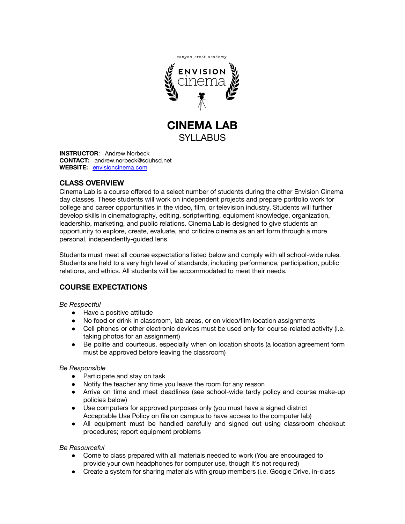

**CINEMA LAB** SYLLABUS

**INSTRUCTOR**: Andrew Norbeck **CONTACT:** andrew.norbeck@sduhsd.net **WEBSITE:** [envisioncinema.com](http://www.envisioncinema.com/)

## **CLASS OVERVIEW**

Cinema Lab is a course offered to a select number of students during the other Envision Cinema day classes. These students will work on independent projects and prepare portfolio work for college and career opportunities in the video, film, or television industry. Students will further develop skills in cinematography, editing, scriptwriting, equipment knowledge, organization, leadership, marketing, and public relations. Cinema Lab is designed to give students an opportunity to explore, create, evaluate, and criticize cinema as an art form through a more personal, independently-guided lens.

Students must meet all course expectations listed below and comply with all school-wide rules. Students are held to a very high level of standards, including performance, participation, public relations, and ethics. All students will be accommodated to meet their needs.

# **COURSE EXPECTATIONS**

### *Be Respectful*

- Have a positive attitude
- No food or drink in classroom, lab areas, or on video/film location assignments
- Cell phones or other electronic devices must be used only for course-related activity (i.e. taking photos for an assignment)
- Be polite and courteous, especially when on location shoots (a location agreement form must be approved before leaving the classroom)

### *Be Responsible*

- Participate and stay on task
- Notify the teacher any time you leave the room for any reason
- Arrive on time and meet deadlines (see school-wide tardy policy and course make-up policies below)
- Use computers for approved purposes only (you must have a signed district Acceptable Use Policy on file on campus to have access to the computer lab)
- All equipment must be handled carefully and signed out using classroom checkout procedures; report equipment problems

#### *Be Resourceful*

- Come to class prepared with all materials needed to work (You are encouraged to provide your own headphones for computer use, though it's not required)
- Create a system for sharing materials with group members (i.e. Google Drive, in-class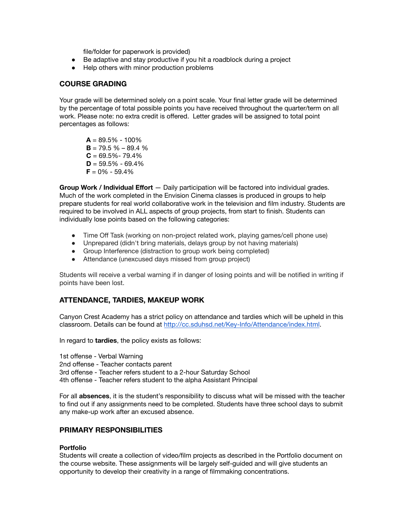file/folder for paperwork is provided)

- Be adaptive and stay productive if you hit a roadblock during a project
- Help others with minor production problems

### **COURSE GRADING**

Your grade will be determined solely on a point scale. Your final letter grade will be determined by the percentage of total possible points you have received throughout the quarter/term on all work. Please note: no extra credit is offered. Letter grades will be assigned to total point percentages as follows:

 $A = 89.5\% - 100\%$  $B = 79.5 \% - 89.4 \%$  $C = 69.5\% - 79.4\%$  $D = 59.5\% - 69.4\%$  $F = 0\% - 59.4\%$ 

**Group Work / Individual Effort** — Daily participation will be factored into individual grades. Much of the work completed in the Envision Cinema classes is produced in groups to help prepare students for real world collaborative work in the television and film industry. Students are required to be involved in ALL aspects of group projects, from start to finish. Students can individually lose points based on the following categories:

- Time Off Task (working on non-project related work, playing games/cell phone use)
- Unprepared (didn't bring materials, delays group by not having materials)
- Group Interference (distraction to group work being completed)
- Attendance (unexcused days missed from group project)

Students will receive a verbal warning if in danger of losing points and will be notified in writing if points have been lost.

## **ATTENDANCE, TARDIES, MAKEUP WORK**

Canyon Crest Academy has a strict policy on attendance and tardies which will be upheld in this classroom. Details can be found at <http://cc.sduhsd.net/Key-Info/Attendance/index.html>.

In regard to **tardies**, the policy exists as follows:

1st offense - Verbal Warning 2nd offense - Teacher contacts parent 3rd offense - Teacher refers student to a 2-hour Saturday School 4th offense - Teacher refers student to the alpha Assistant Principal

For all **absences**, it is the student's responsibility to discuss what will be missed with the teacher to find out if any assignments need to be completed. Students have three school days to submit any make-up work after an excused absence.

### **PRIMARY RESPONSIBILITIES**

#### **Portfolio**

Students will create a collection of video/film projects as described in the Portfolio document on the course website. These assignments will be largely self-guided and will give students an opportunity to develop their creativity in a range of filmmaking concentrations.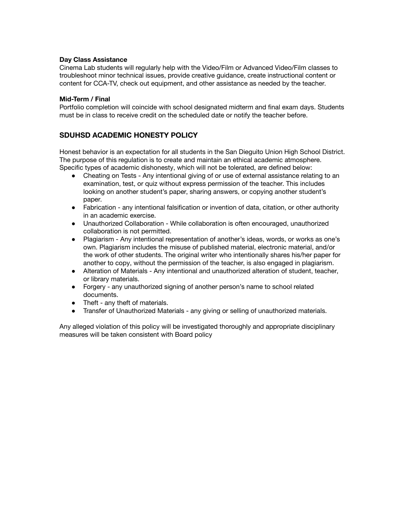#### **Day Class Assistance**

Cinema Lab students will regularly help with the Video/Film or Advanced Video/Film classes to troubleshoot minor technical issues, provide creative guidance, create instructional content or content for CCA-TV, check out equipment, and other assistance as needed by the teacher.

#### **Mid-Term / Final**

Portfolio completion will coincide with school designated midterm and final exam days. Students must be in class to receive credit on the scheduled date or notify the teacher before.

## **SDUHSD ACADEMIC HONESTY POLICY**

Honest behavior is an expectation for all students in the San Dieguito Union High School District. The purpose of this regulation is to create and maintain an ethical academic atmosphere. Specific types of academic dishonesty, which will not be tolerated, are defined below:

- Cheating on Tests Any intentional giving of or use of external assistance relating to an examination, test, or quiz without express permission of the teacher. This includes looking on another student's paper, sharing answers, or copying another student's paper.
- Fabrication any intentional falsification or invention of data, citation, or other authority in an academic exercise.
- Unauthorized Collaboration While collaboration is often encouraged, unauthorized collaboration is not permitted.
- Plagiarism Any intentional representation of another's ideas, words, or works as one's own. Plagiarism includes the misuse of published material, electronic material, and/or the work of other students. The original writer who intentionally shares his/her paper for another to copy, without the permission of the teacher, is also engaged in plagiarism.
- Alteration of Materials Any intentional and unauthorized alteration of student, teacher, or library materials.
- Forgery any unauthorized signing of another person's name to school related documents.
- Theft any theft of materials.
- Transfer of Unauthorized Materials any giving or selling of unauthorized materials.

Any alleged violation of this policy will be investigated thoroughly and appropriate disciplinary measures will be taken consistent with Board policy